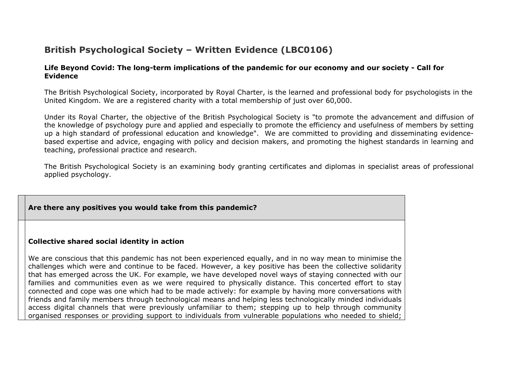# **British Psychological Society – Written Evidence (LBC0106)**

#### Life Beyond Covid: The long-term implications of the pandemic for our economy and our society - Call for **Evidence**

The British Psychological Society, incorporated by Royal Charter, is the learned and professional body for psychologists in the United Kingdom. We are a registered charity with a total membership of just over 60,000.

Under its Royal Charter, the objective of the British Psychological Society is "to promote the advancement and diffusion of the knowledge of psychology pure and applied and especially to promote the efficiency and usefulness of members by setting up a high standard of professional education and knowledge". We are committed to providing and disseminating evidencebased expertise and advice, engaging with policy and decision makers, and promoting the highest standards in learning and teaching, professional practice and research.

The British Psychological Society is an examining body granting certificates and diplomas in specialist areas of professional applied psychology.

# **Are there any positives you would take from this pandemic?**

#### **Collective shared social identity in action**

We are conscious that this pandemic has not been experienced equally, and in no way mean to minimise the challenges which were and continue to be faced. However, a key positive has been the collective solidarity that has emerged across the UK. For example, we have developed novel ways of staying connected with our families and communities even as we were required to physically distance. This concerted effort to stay connected and cope was one which had to be made actively: for example by having more conversations with friends and family members through technological means and helping less technologically minded individuals access digital channels that were previously unfamiliar to them; stepping up to help through community organised responses or providing support to individuals from vulnerable populations who needed to shield;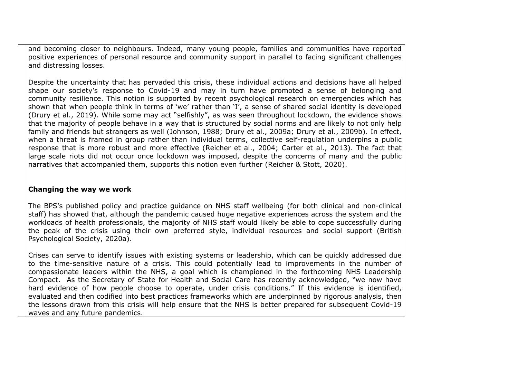and becoming closer to neighbours. Indeed, many young people, families and communities have reported positive experiences of personal resource and community support in parallel to facing significant challenges and distressing losses.

Despite the uncertainty that has pervaded this crisis, these individual actions and decisions have all helped shape our society's response to Covid-19 and may in turn have promoted a sense of belonging and community resilience. This notion is supported by recent psychological research on emergencies which has shown that when people think in terms of 'we' rather than 'I', a sense of shared social identity is developed (Drury et al., 2019). While some may act "selfishly", as was seen throughout lockdown, the evidence shows that the majority of people behave in a way that is structured by social norms and are likely to not only help family and friends but strangers as well (Johnson, 1988; Drury et al., 2009a; Drury et al., 2009b). In effect, when a threat is framed in group rather than individual terms, collective self-regulation underpins a public response that is more robust and more effective (Reicher et al., 2004; Carter et al., 2013). The fact that large scale riots did not occur once lockdown was imposed, despite the concerns of many and the public narratives that accompanied them, supports this notion even further (Reicher & Stott, 2020).

#### **Changing the way we work**

The BPS's published policy and practice guidance on NHS staff wellbeing (for both clinical and non-clinical staff) has showed that, although the pandemic caused huge negative experiences across the system and the workloads of health professionals, the majority of NHS staff would likely be able to cope successfully during the peak of the crisis using their own preferred style, individual resources and social support (British Psychological Society, 2020a).

Crises can serve to identify issues with existing systems or leadership, which can be quickly addressed due to the time-sensitive nature of a crisis. This could potentially lead to improvements in the number of compassionate leaders within the NHS, a goal which is championed in the forthcoming NHS Leadership Compact. As the Secretary of State for Health and Social Care has recently acknowledged, "we now have hard evidence of how people choose to operate, under crisis conditions." If this evidence is identified, evaluated and then codified into best practices frameworks which are underpinned by rigorous analysis, then the lessons drawn from this crisis will help ensure that the NHS is better prepared for subsequent Covid-19 waves and any future pandemics.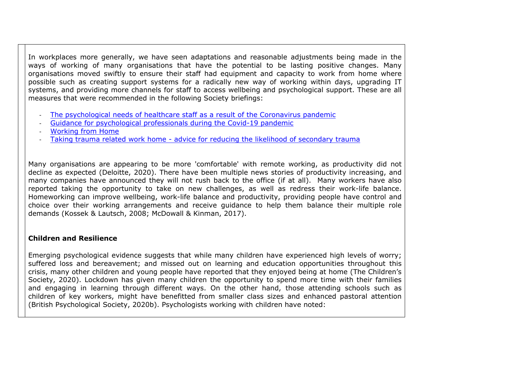In workplaces more generally, we have seen adaptations and reasonable adjustments being made in the ways of working of many organisations that have the potential to be lasting positive changes. Many organisations moved swiftly to ensure their staff had equipment and capacity to work from home where possible such as creating support systems for a radically new way of working within days, upgrading IT systems, and providing more channels for staff to access wellbeing and psychological support. These are all measures that were recommended in the following Society briefings:

- [The](https://www.bps.org.uk/coronavirus-resources/professional/protecting-psychological-needs-healthcare-staff) [psychological](https://www.bps.org.uk/coronavirus-resources/professional/protecting-psychological-needs-healthcare-staff) [needs](https://www.bps.org.uk/coronavirus-resources/professional/protecting-psychological-needs-healthcare-staff) [of](https://www.bps.org.uk/coronavirus-resources/professional/protecting-psychological-needs-healthcare-staff) [healthcare](https://www.bps.org.uk/coronavirus-resources/professional/protecting-psychological-needs-healthcare-staff) [staff](https://www.bps.org.uk/coronavirus-resources/professional/protecting-psychological-needs-healthcare-staff) [as](https://www.bps.org.uk/coronavirus-resources/professional/protecting-psychological-needs-healthcare-staff) [a](https://www.bps.org.uk/coronavirus-resources/professional/protecting-psychological-needs-healthcare-staff) [result](https://www.bps.org.uk/coronavirus-resources/professional/protecting-psychological-needs-healthcare-staff) of [the](https://www.bps.org.uk/coronavirus-resources/professional/protecting-psychological-needs-healthcare-staff) [Coronavirus](https://www.bps.org.uk/coronavirus-resources/professional/protecting-psychological-needs-healthcare-staff) [pandemic](https://www.bps.org.uk/coronavirus-resources/professional/protecting-psychological-needs-healthcare-staff)
- [Guidance](https://www.bps.org.uk/coronavirus-resources/professional/guidance-psychological-professionals-covid-19) [for](https://www.bps.org.uk/coronavirus-resources/professional/guidance-psychological-professionals-covid-19) [psychological](https://www.bps.org.uk/coronavirus-resources/professional/guidance-psychological-professionals-covid-19) [professionals](https://www.bps.org.uk/coronavirus-resources/professional/guidance-psychological-professionals-covid-19) [during](https://www.bps.org.uk/coronavirus-resources/professional/guidance-psychological-professionals-covid-19) [the](https://www.bps.org.uk/coronavirus-resources/professional/guidance-psychological-professionals-covid-19) [Covid-19](https://www.bps.org.uk/coronavirus-resources/professional/guidance-psychological-professionals-covid-19) [pandemic](https://www.bps.org.uk/coronavirus-resources/professional/guidance-psychological-professionals-covid-19)
- [Working](https://www.bps.org.uk/coronavirus-resources/public/working-from-home) [from](https://www.bps.org.uk/coronavirus-resources/public/working-from-home) [Home](https://www.bps.org.uk/coronavirus-resources/public/working-from-home)
- [Taking](https://www.bps.org.uk/coronavirus-resources/professional/taking-trauma-home) [trauma](https://www.bps.org.uk/coronavirus-resources/professional/taking-trauma-home) [related](https://www.bps.org.uk/coronavirus-resources/professional/taking-trauma-home) [work](https://www.bps.org.uk/coronavirus-resources/professional/taking-trauma-home) [home](https://www.bps.org.uk/coronavirus-resources/professional/taking-trauma-home) [-](https://www.bps.org.uk/coronavirus-resources/professional/taking-trauma-home) [advice](https://www.bps.org.uk/coronavirus-resources/professional/taking-trauma-home) [for](https://www.bps.org.uk/coronavirus-resources/professional/taking-trauma-home) [reducing](https://www.bps.org.uk/coronavirus-resources/professional/taking-trauma-home) [the](https://www.bps.org.uk/coronavirus-resources/professional/taking-trauma-home) [likelihood](https://www.bps.org.uk/coronavirus-resources/professional/taking-trauma-home) [of](https://www.bps.org.uk/coronavirus-resources/professional/taking-trauma-home) [secondary](https://www.bps.org.uk/coronavirus-resources/professional/taking-trauma-home) [trauma](https://www.bps.org.uk/coronavirus-resources/professional/taking-trauma-home)

Many organisations are appearing to be more 'comfortable' with remote working, as productivity did not decline as expected (Deloitte, 2020). There have been multiple news stories of productivity increasing, and many companies have announced they will not rush back to the office (if at all). Many workers have also reported taking the opportunity to take on new challenges, as well as redress their work-life balance. Homeworking can improve wellbeing, work-life balance and productivity, providing people have control and choice over their working arrangements and receive guidance to help them balance their multiple role demands (Kossek & Lautsch, 2008; McDowall & Kinman, 2017).

# **Children and Resilience**

Emerging psychological evidence suggests that while many children have experienced high levels of worry; suffered loss and bereavement; and missed out on learning and education opportunities throughout this crisis, many other children and young people have reported that they enjoyed being at home (The Children's Society, 2020). Lockdown has given many children the opportunity to spend more time with their families and engaging in learning through different ways. On the other hand, those attending schools such as children of key workers, might have benefitted from smaller class sizes and enhanced pastoral attention (British Psychological Society, 2020b). Psychologists working with children have noted: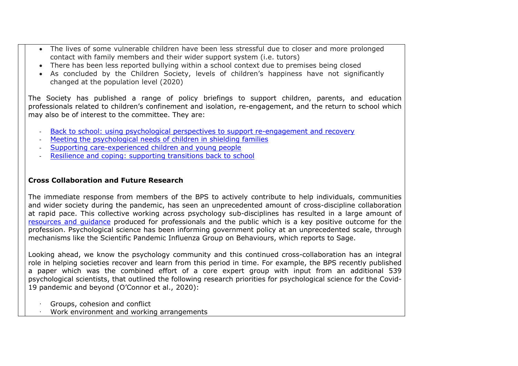- The lives of some vulnerable children have been less stressful due to closer and more prolonged contact with family members and their wider support system (i.e. tutors)
- There has been less reported bullying within a school context due to premises being closed
- As concluded by the Children Society, levels of children's happiness have not significantly changed at the population level (2020)

The Society has published a range of policy briefings to support children, parents, and education professionals related to children's confinement and isolation, re-engagement, and the return to school which may also be of interest to the committee. They are:

- [Back](https://www.bps.org.uk/sites/www.bps.org.uk/files/Policy/Policy%20-%20Files/Back%20to%20school%20-%20using%20psychological%20perspectives%20to%20support%20re-engagement%20and%20recovery.pdf) [to](https://www.bps.org.uk/sites/www.bps.org.uk/files/Policy/Policy%20-%20Files/Back%20to%20school%20-%20using%20psychological%20perspectives%20to%20support%20re-engagement%20and%20recovery.pdf) [school:](https://www.bps.org.uk/sites/www.bps.org.uk/files/Policy/Policy%20-%20Files/Back%20to%20school%20-%20using%20psychological%20perspectives%20to%20support%20re-engagement%20and%20recovery.pdf) [using](https://www.bps.org.uk/sites/www.bps.org.uk/files/Policy/Policy%20-%20Files/Back%20to%20school%20-%20using%20psychological%20perspectives%20to%20support%20re-engagement%20and%20recovery.pdf) [psychological](https://www.bps.org.uk/sites/www.bps.org.uk/files/Policy/Policy%20-%20Files/Back%20to%20school%20-%20using%20psychological%20perspectives%20to%20support%20re-engagement%20and%20recovery.pdf) [perspectives](https://www.bps.org.uk/sites/www.bps.org.uk/files/Policy/Policy%20-%20Files/Back%20to%20school%20-%20using%20psychological%20perspectives%20to%20support%20re-engagement%20and%20recovery.pdf) to [support](https://www.bps.org.uk/sites/www.bps.org.uk/files/Policy/Policy%20-%20Files/Back%20to%20school%20-%20using%20psychological%20perspectives%20to%20support%20re-engagement%20and%20recovery.pdf) [re-engagement](https://www.bps.org.uk/sites/www.bps.org.uk/files/Policy/Policy%20-%20Files/Back%20to%20school%20-%20using%20psychological%20perspectives%20to%20support%20re-engagement%20and%20recovery.pdf) [and](https://www.bps.org.uk/sites/www.bps.org.uk/files/Policy/Policy%20-%20Files/Back%20to%20school%20-%20using%20psychological%20perspectives%20to%20support%20re-engagement%20and%20recovery.pdf) [recovery](https://www.bps.org.uk/sites/www.bps.org.uk/files/Policy/Policy%20-%20Files/Back%20to%20school%20-%20using%20psychological%20perspectives%20to%20support%20re-engagement%20and%20recovery.pdf)
- [Meeting](https://www.bps.org.uk/sites/www.bps.org.uk/files/Policy/Policy%20-%20Files/Meeting%20the%20psychological%20needs%20of%20children%20in%20shielding%20families.pdf) [the](https://www.bps.org.uk/sites/www.bps.org.uk/files/Policy/Policy%20-%20Files/Meeting%20the%20psychological%20needs%20of%20children%20in%20shielding%20families.pdf) [psychological](https://www.bps.org.uk/sites/www.bps.org.uk/files/Policy/Policy%20-%20Files/Meeting%20the%20psychological%20needs%20of%20children%20in%20shielding%20families.pdf) [needs](https://www.bps.org.uk/sites/www.bps.org.uk/files/Policy/Policy%20-%20Files/Meeting%20the%20psychological%20needs%20of%20children%20in%20shielding%20families.pdf) [of](https://www.bps.org.uk/sites/www.bps.org.uk/files/Policy/Policy%20-%20Files/Meeting%20the%20psychological%20needs%20of%20children%20in%20shielding%20families.pdf) [children](https://www.bps.org.uk/sites/www.bps.org.uk/files/Policy/Policy%20-%20Files/Meeting%20the%20psychological%20needs%20of%20children%20in%20shielding%20families.pdf) [in](https://www.bps.org.uk/sites/www.bps.org.uk/files/Policy/Policy%20-%20Files/Meeting%20the%20psychological%20needs%20of%20children%20in%20shielding%20families.pdf) [shielding](https://www.bps.org.uk/sites/www.bps.org.uk/files/Policy/Policy%20-%20Files/Meeting%20the%20psychological%20needs%20of%20children%20in%20shielding%20families.pdf) [families](https://www.bps.org.uk/sites/www.bps.org.uk/files/Policy/Policy%20-%20Files/Meeting%20the%20psychological%20needs%20of%20children%20in%20shielding%20families.pdf)
- [Supporting](https://www.bps.org.uk/sites/www.bps.org.uk/files/Policy/Policy%20-%20Files/Supporting%20care-experienced%20children%20and%20young%20people%20during%20the%20Covid-19%20crisis%20and%20its%20aftermath.pdf) [care-experienced](https://www.bps.org.uk/sites/www.bps.org.uk/files/Policy/Policy%20-%20Files/Supporting%20care-experienced%20children%20and%20young%20people%20during%20the%20Covid-19%20crisis%20and%20its%20aftermath.pdf) [children](https://www.bps.org.uk/sites/www.bps.org.uk/files/Policy/Policy%20-%20Files/Supporting%20care-experienced%20children%20and%20young%20people%20during%20the%20Covid-19%20crisis%20and%20its%20aftermath.pdf) [and](https://www.bps.org.uk/sites/www.bps.org.uk/files/Policy/Policy%20-%20Files/Supporting%20care-experienced%20children%20and%20young%20people%20during%20the%20Covid-19%20crisis%20and%20its%20aftermath.pdf) [young](https://www.bps.org.uk/sites/www.bps.org.uk/files/Policy/Policy%20-%20Files/Supporting%20care-experienced%20children%20and%20young%20people%20during%20the%20Covid-19%20crisis%20and%20its%20aftermath.pdf) [people](https://www.bps.org.uk/sites/www.bps.org.uk/files/Policy/Policy%20-%20Files/Supporting%20care-experienced%20children%20and%20young%20people%20during%20the%20Covid-19%20crisis%20and%20its%20aftermath.pdf)
- [Resilience](https://www.bps.org.uk/sites/www.bps.org.uk/files/Policy/Policy%20-%20Files/Resilience%20and%20coping%20-%20supporting%20transitions%20back%20to%20school.pdf) [and](https://www.bps.org.uk/sites/www.bps.org.uk/files/Policy/Policy%20-%20Files/Resilience%20and%20coping%20-%20supporting%20transitions%20back%20to%20school.pdf) [coping:](https://www.bps.org.uk/sites/www.bps.org.uk/files/Policy/Policy%20-%20Files/Resilience%20and%20coping%20-%20supporting%20transitions%20back%20to%20school.pdf) [supporting](https://www.bps.org.uk/sites/www.bps.org.uk/files/Policy/Policy%20-%20Files/Resilience%20and%20coping%20-%20supporting%20transitions%20back%20to%20school.pdf) [transitions](https://www.bps.org.uk/sites/www.bps.org.uk/files/Policy/Policy%20-%20Files/Resilience%20and%20coping%20-%20supporting%20transitions%20back%20to%20school.pdf) [back](https://www.bps.org.uk/sites/www.bps.org.uk/files/Policy/Policy%20-%20Files/Resilience%20and%20coping%20-%20supporting%20transitions%20back%20to%20school.pdf) [to](https://www.bps.org.uk/sites/www.bps.org.uk/files/Policy/Policy%20-%20Files/Resilience%20and%20coping%20-%20supporting%20transitions%20back%20to%20school.pdf) [school](https://www.bps.org.uk/sites/www.bps.org.uk/files/Policy/Policy%20-%20Files/Resilience%20and%20coping%20-%20supporting%20transitions%20back%20to%20school.pdf)

### **Cross Collaboration and Future Research**

The immediate response from members of the BPS to actively contribute to help individuals, communities and wider society during the pandemic, has seen an unprecedented amount of cross-discipline collaboration at rapid pace. This collective working across psychology sub-disciplines has resulted in a large amount of [resources](https://www.bps.org.uk/coronavirus-resources) [and](https://www.bps.org.uk/coronavirus-resources) [guidance](https://www.bps.org.uk/coronavirus-resources) produced for professionals and the public which is a key positive outcome for the profession. Psychological science has been informing government policy at an unprecedented scale, through mechanisms like the Scientific Pandemic Influenza Group on Behaviours, which reports to Sage.

Looking ahead, we know the psychology community and this continued cross-collaboration has an integral role in helping societies recover and learn from this period in time. For example, the BPS recently published a paper which was the combined effort of a core expert group with input from an additional 539 psychological scientists, that outlined the following research priorities for psychological science for the Covid-19 pandemic and beyond (O'Connor et al., 2020):

- · Groups, cohesion and conflict
- · Work environment and working arrangements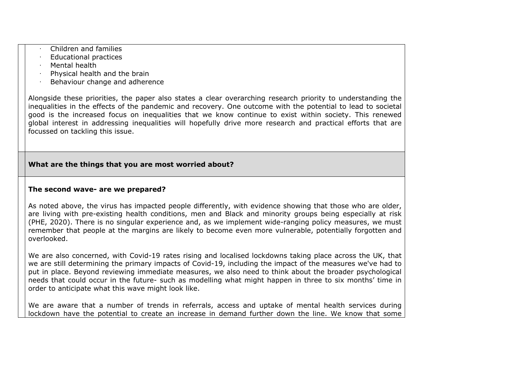- · Children and families
- · Educational practices
- · Mental health
- · Physical health and the brain
- · Behaviour change and adherence

Alongside these priorities, the paper also states a clear overarching research priority to understanding the inequalities in the effects of the pandemic and recovery. One outcome with the potential to lead to societal good is the increased focus on inequalities that we know continue to exist within society. This renewed global interest in addressing inequalities will hopefully drive more research and practical efforts that are focussed on tackling this issue.

# **What are the things that you are most worried about?**

#### **The second wave- are we prepared?**

As noted above, the virus has impacted people differently, with evidence showing that those who are older, are living with pre-existing health conditions, men and Black and minority groups being especially at risk (PHE, 2020). There is no singular experience and, as we implement wide-ranging policy measures, we must remember that people at the margins are likely to become even more vulnerable, potentially forgotten and overlooked.

We are also concerned, with Covid-19 rates rising and localised lockdowns taking place across the UK, that we are still determining the primary impacts of Covid-19, including the impact of the measures we've had to put in place. Beyond reviewing immediate measures, we also need to think about the broader psychological needs that could occur in the future- such as modelling what might happen in three to six months' time in order to anticipate what this wave might look like.

We are aware that a number of trends in referrals, access and uptake of mental health services during lockdown have the potential to create an increase in demand further down the line. We know that some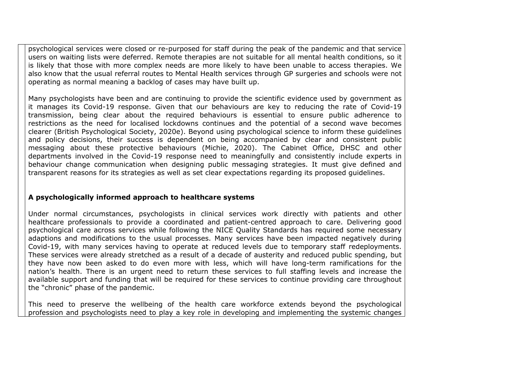psychological services were closed or re-purposed for staff during the peak of the pandemic and that service users on waiting lists were deferred. Remote therapies are not suitable for all mental health conditions, so it is likely that those with more complex needs are more likely to have been unable to access therapies. We also know that the usual referral routes to Mental Health services through GP surgeries and schools were not operating as normal meaning a backlog of cases may have built up.

Many psychologists have been and are continuing to provide the scientific evidence used by government as it manages its Covid-19 response. Given that our behaviours are key to reducing the rate of Covid-19 transmission, being clear about the required behaviours is essential to ensure public adherence to restrictions as the need for localised lockdowns continues and the potential of a second wave becomes clearer (British Psychological Society, 2020e). Beyond using psychological science to inform these guidelines and policy decisions, their success is dependent on being accompanied by clear and consistent public messaging about these protective behaviours (Michie, 2020). The Cabinet Office, DHSC and other departments involved in the Covid-19 response need to meaningfully and consistently include experts in behaviour change communication when designing public messaging strategies. It must give defined and transparent reasons for its strategies as well as set clear expectations regarding its proposed guidelines.

#### **A psychologically informed approach to healthcare systems**

Under normal circumstances, psychologists in clinical services work directly with patients and other healthcare professionals to provide a coordinated and patient-centred approach to care. Delivering good psychological care across services while following the NICE Quality Standards has required some necessary adaptions and modifications to the usual processes. Many services have been impacted negatively during Covid-19, with many services having to operate at reduced levels due to temporary staff redeployments. These services were already stretched as a result of a decade of austerity and reduced public spending, but they have now been asked to do even more with less, which will have long-term ramifications for the nation's health. There is an urgent need to return these services to full staffing levels and increase the available support and funding that will be required for these services to continue providing care throughout the "chronic" phase of the pandemic.

This need to preserve the wellbeing of the health care workforce extends beyond the psychological profession and psychologists need to play a key role in developing and implementing the systemic changes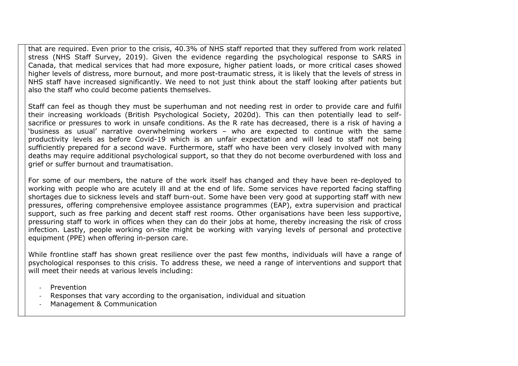that are required. Even prior to the crisis, 40.3% of NHS staff reported that they suffered from work related stress (NHS Staff Survey, 2019). Given the evidence regarding the psychological response to SARS in Canada, that medical services that had more exposure, higher patient loads, or more critical cases showed higher levels of distress, more burnout, and more post-traumatic stress, it is likely that the levels of stress in NHS staff have increased significantly. We need to not just think about the staff looking after patients but also the staff who could become patients themselves.

Staff can feel as though they must be superhuman and not needing rest in order to provide care and fulfil their increasing workloads (British Psychological Society, 2020d). This can then potentially lead to selfsacrifice or pressures to work in unsafe conditions. As the R rate has decreased, there is a risk of having a 'business as usual' narrative overwhelming workers – who are expected to continue with the same productivity levels as before Covid-19 which is an unfair expectation and will lead to staff not being sufficiently prepared for a second wave. Furthermore, staff who have been very closely involved with many deaths may require additional psychological support, so that they do not become overburdened with loss and grief or suffer burnout and traumatisation.

For some of our members, the nature of the work itself has changed and they have been re-deployed to working with people who are acutely ill and at the end of life. Some services have reported facing staffing shortages due to sickness levels and staff burn-out. Some have been very good at supporting staff with new pressures, offering comprehensive employee assistance programmes (EAP), extra supervision and practical support, such as free parking and decent staff rest rooms. Other organisations have been less supportive, pressuring staff to work in offices when they can do their jobs at home, thereby increasing the risk of cross infection. Lastly, people working on-site might be working with varying levels of personal and protective equipment (PPE) when offering in-person care.

While frontline staff has shown great resilience over the past few months, individuals will have a range of psychological responses to this crisis. To address these, we need a range of interventions and support that will meet their needs at various levels including:

- **Prevention**
- Responses that vary according to the organisation, individual and situation
- Management & Communication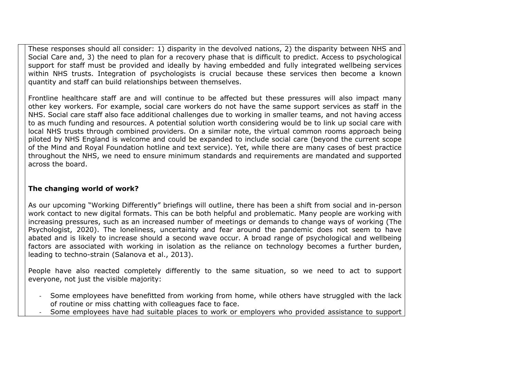These responses should all consider: 1) disparity in the devolved nations, 2) the disparity between NHS and Social Care and, 3) the need to plan for a recovery phase that is difficult to predict. Access to psychological support for staff must be provided and ideally by having embedded and fully integrated wellbeing services within NHS trusts. Integration of psychologists is crucial because these services then become a known quantity and staff can build relationships between themselves.

Frontline healthcare staff are and will continue to be affected but these pressures will also impact many other key workers. For example, social care workers do not have the same support services as staff in the NHS. Social care staff also face additional challenges due to working in smaller teams, and not having access to as much funding and resources. A potential solution worth considering would be to link up social care with local NHS trusts through combined providers. On a similar note, the virtual common rooms approach being piloted by NHS England is welcome and could be expanded to include social care (beyond the current scope of the Mind and Royal Foundation hotline and text service). Yet, while there are many cases of best practice throughout the NHS, we need to ensure minimum standards and requirements are mandated and supported across the board.

#### **The changing world of work?**

As our upcoming "Working Differently" briefings will outline, there has been a shift from social and in-person work contact to new digital formats. This can be both helpful and problematic. Many people are working with increasing pressures, such as an increased number of meetings or demands to change ways of working (The Psychologist, 2020). The loneliness, uncertainty and fear around the pandemic does not seem to have abated and is likely to increase should a second wave occur. A broad range of psychological and wellbeing factors are associated with working in isolation as the reliance on technology becomes a further burden, leading to techno-strain (Salanova et al., 2013).

People have also reacted completely differently to the same situation, so we need to act to support everyone, not just the visible majority:

- Some employees have benefitted from working from home, while others have struggled with the lack of routine or miss chatting with colleagues face to face.
- Some employees have had suitable places to work or employers who provided assistance to support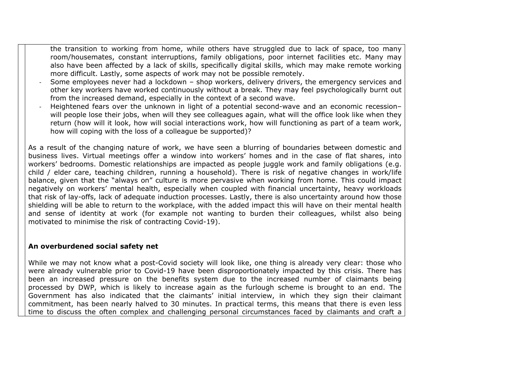the transition to working from home, while others have struggled due to lack of space, too many room/housemates, constant interruptions, family obligations, poor internet facilities etc. Many may also have been affected by a lack of skills, specifically digital skills, which may make remote working more difficult. Lastly, some aspects of work may not be possible remotely.

- Some employees never had a lockdown shop workers, delivery drivers, the emergency services and other key workers have worked continuously without a break. They may feel psychologically burnt out from the increased demand, especially in the context of a second wave.
- Heightened fears over the unknown in light of a potential second-wave and an economic recessionwill people lose their jobs, when will they see colleagues again, what will the office look like when they return (how will it look, how will social interactions work, how will functioning as part of a team work, how will coping with the loss of a colleague be supported)?

As a result of the changing nature of work, we have seen a blurring of boundaries between domestic and business lives. Virtual meetings offer a window into workers' homes and in the case of flat shares, into workers' bedrooms. Domestic relationships are impacted as people juggle work and family obligations (e.g. child / elder care, teaching children, running a household). There is risk of negative changes in work/life balance, given that the "always on" culture is more pervasive when working from home. This could impact negatively on workers' mental health, especially when coupled with financial uncertainty, heavy workloads that risk of lay-offs, lack of adequate induction processes. Lastly, there is also uncertainty around how those shielding will be able to return to the workplace, with the added impact this will have on their mental health and sense of identity at work (for example not wanting to burden their colleagues, whilst also being motivated to minimise the risk of contracting Covid-19).

#### **An overburdened social safety net**

While we may not know what a post-Covid society will look like, one thing is already very clear: those who were already vulnerable prior to Covid-19 have been disproportionately impacted by this crisis. There has been an increased pressure on the benefits system due to the increased number of claimants being processed by DWP, which is likely to increase again as the furlough scheme is brought to an end. The Government has also indicated that the claimants' initial interview, in which they sign their claimant commitment, has been nearly halved to 30 minutes. In practical terms, this means that there is even less time to discuss the often complex and challenging personal circumstances faced by claimants and craft a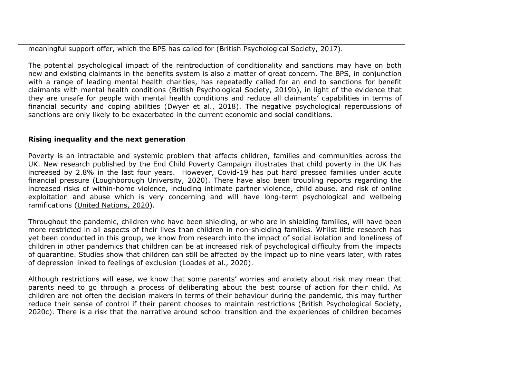meaningful support offer, which the BPS has called for (British Psychological Society, 2017).

The potential psychological impact of the reintroduction of conditionality and sanctions may have on both new and existing claimants in the benefits system is also a matter of great concern. The BPS, in conjunction with a range of leading mental health charities, has repeatedly called for an end to sanctions for benefit claimants with mental health conditions (British Psychological Society, 2019b), in light of the evidence that they are unsafe for people with mental health conditions and reduce all claimants' capabilities in terms of financial security and coping abilities (Dwyer et al., 2018). The negative psychological repercussions of sanctions are only likely to be exacerbated in the current economic and social conditions.

#### **Rising inequality and the next generation**

Poverty is an intractable and systemic problem that affects children, families and communities across the UK. New research published by the End Child Poverty Campaign illustrates that child poverty in the UK has increased by 2.8% in the last four years. However, Covid-19 has put hard pressed families under acute financial pressure (Loughborough University, 2020). There have also been troubling reports regarding the increased risks of within-home violence, including intimate partner violence, child abuse, and risk of online exploitation and abuse which is very concerning and will have long-term psychological and wellbeing ramifications ([United](https://www.ohchr.org/EN/NewsEvents/Pages/DisplayNews.aspx?NewsID=25865&LangID=E) [Nations,](https://www.ohchr.org/EN/NewsEvents/Pages/DisplayNews.aspx?NewsID=25865&LangID=E) [2020\)](https://www.ohchr.org/EN/NewsEvents/Pages/DisplayNews.aspx?NewsID=25865&LangID=E).

Throughout the pandemic, children who have been shielding, or who are in shielding families, will have been more restricted in all aspects of their lives than children in non-shielding families. Whilst little research has yet been conducted in this group, we know from research into the impact of social isolation and loneliness of children in other pandemics that children can be at increased risk of psychological difficulty from the impacts of quarantine. Studies show that children can still be affected by the impact up to nine years later, with rates of depression linked to feelings of exclusion (Loades et al., 2020).

Although restrictions will ease, we know that some parents' worries and anxiety about risk may mean that parents need to go through a process of deliberating about the best course of action for their child. As children are not often the decision makers in terms of their behaviour during the pandemic, this may further reduce their sense of control if their parent chooses to maintain restrictions (British Psychological Society, 2020c). There is a risk that the narrative around school transition and the experiences of children becomes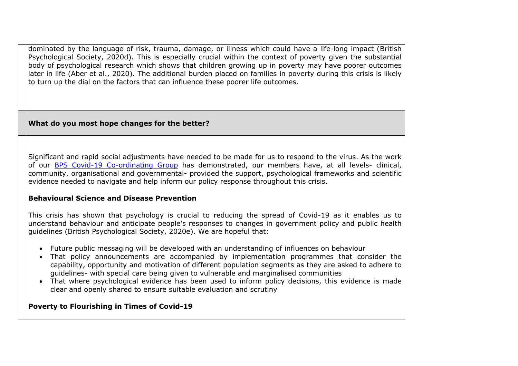dominated by the language of risk, trauma, damage, or illness which could have a life-long impact (British Psychological Society, 2020d). This is especially crucial within the context of poverty given the substantial body of psychological research which shows that children growing up in poverty may have poorer outcomes later in life (Aber et al., 2020). The additional burden placed on families in poverty during this crisis is likely to turn up the dial on the factors that can influence these poorer life outcomes.

# **What do you most hope changes for the better?**

Significant and rapid social adjustments have needed to be made for us to respond to the virus. As the work of our [BPS](https://www.bps.org.uk/coronavirus-resources/coordinating-group) [Covid-19](https://www.bps.org.uk/coronavirus-resources/coordinating-group) [Co-ordinating](https://www.bps.org.uk/coronavirus-resources/coordinating-group) [Group](https://www.bps.org.uk/coronavirus-resources/coordinating-group) has demonstrated, our members have, at all levels- clinical, community, organisational and governmental- provided the support, psychological frameworks and scientific evidence needed to navigate and help inform our policy response throughout this crisis.

# **Behavioural Science and Disease Prevention**

This crisis has shown that psychology is crucial to reducing the spread of Covid-19 as it enables us to understand behaviour and anticipate people's responses to changes in government policy and public health guidelines (British Psychological Society, 2020e). We are hopeful that:

- Future public messaging will be developed with an understanding of influences on behaviour
- That policy announcements are accompanied by implementation programmes that consider the capability, opportunity and motivation of different population segments as they are asked to adhere to guidelines- with special care being given to vulnerable and marginalised communities
- That where psychological evidence has been used to inform policy decisions, this evidence is made clear and openly shared to ensure suitable evaluation and scrutiny

# **Poverty to Flourishing in Times of Covid-19**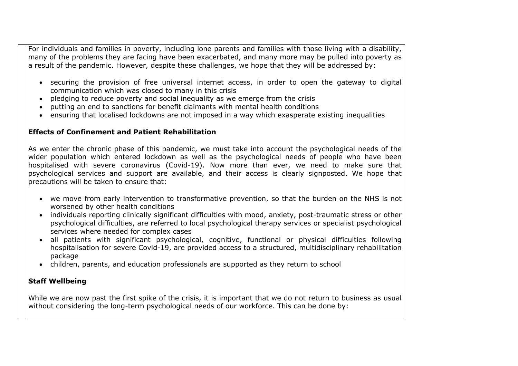For individuals and families in poverty, including lone parents and families with those living with a disability, many of the problems they are facing have been exacerbated, and many more may be pulled into poverty as a result of the pandemic. However, despite these challenges, we hope that they will be addressed by:

- securing the provision of free universal internet access, in order to open the gateway to digital communication which was closed to many in this crisis
- pledging to reduce poverty and social inequality as we emerge from the crisis
- putting an end to sanctions for benefit claimants with mental health conditions
- ensuring that localised lockdowns are not imposed in a way which exasperate existing inequalities

# **Effects of Confinement and Patient Rehabilitation**

As we enter the chronic phase of this pandemic, we must take into account the psychological needs of the wider population which entered lockdown as well as the psychological needs of people who have been hospitalised with severe coronavirus (Covid-19). Now more than ever, we need to make sure that psychological services and support are available, and their access is clearly signposted. We hope that precautions will be taken to ensure that:

- we move from early intervention to transformative prevention, so that the burden on the NHS is not worsened by other health conditions
- individuals reporting clinically significant difficulties with mood, anxiety, post-traumatic stress or other psychological difficulties, are referred to local psychological therapy services or specialist psychological services where needed for complex cases
- all patients with significant psychological, cognitive, functional or physical difficulties following hospitalisation for severe Covid-19, are provided access to a structured, multidisciplinary rehabilitation package
- children, parents, and education professionals are supported as they return to school

# **Staff Wellbeing**

While we are now past the first spike of the crisis, it is important that we do not return to business as usual without considering the long-term psychological needs of our workforce. This can be done by: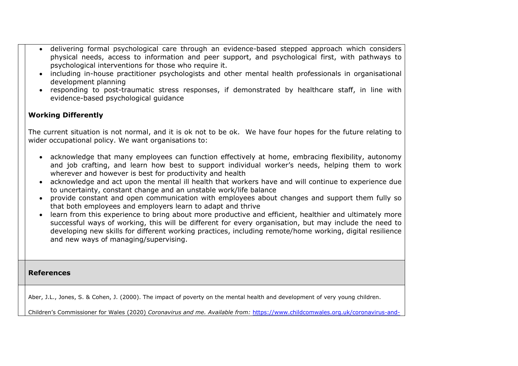- delivering formal psychological care through an evidence-based stepped approach which considers physical needs, access to information and peer support, and psychological first, with pathways to psychological interventions for those who require it.
- including in-house practitioner psychologists and other mental health professionals in organisational development planning
- responding to post-traumatic stress responses, if demonstrated by healthcare staff, in line with evidence-based psychological guidance

# **Working Differently**

The current situation is not normal, and it is ok not to be ok. We have four hopes for the future relating to wider occupational policy. We want organisations to:

- acknowledge that many employees can function effectively at home, embracing flexibility, autonomy and job crafting, and learn how best to support individual worker's needs, helping them to work wherever and however is best for productivity and health
- acknowledge and act upon the mental ill health that workers have and will continue to experience due to uncertainty, constant change and an unstable work/life balance
- provide constant and open communication with employees about changes and support them fully so that both employees and employers learn to adapt and thrive
- learn from this experience to bring about more productive and efficient, healthier and ultimately more successful ways of working, this will be different for every organisation, but may include the need to developing new skills for different working practices, including remote/home working, digital resilience and new ways of managing/supervising.

**References**

Aber, J.L., Jones, S. & Cohen, J. (2000). The impact of poverty on the mental health and development of very young children.

Children's Commissioner for Wales (2020) *Coronavirus and me. Available from:* [https://www.childcomwales.org.uk/coronavirus-and-](https://www.childcomwales.org.uk/coronavirus-and-me-results)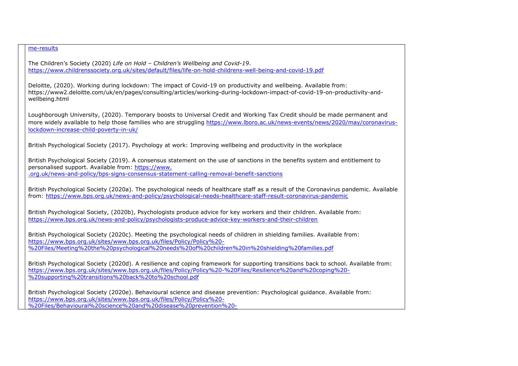#### [me-results](https://www.childcomwales.org.uk/coronavirus-and-me-results)

The Children's Society (2020) *Life on Hold – Children's Wellbeing and Covid-19*. <https://www.childrenssociety.org.uk/sites/default/files/life-on-hold-childrens-well-being-and-covid-19.pdf>

Deloitte, (2020). Working during lockdown: The impact of Covid-19 on productivity and wellbeing. Available from: https://www2.deloitte.com/uk/en/pages/consulting/articles/working-during-lockdown-impact-of-covid-19-on-productivity-andwellbeing.html

Loughborough University, (2020). Temporary boosts to Universal Credit and Working Tax Credit should be made permanent and more widely available to help those families who are struggling [https://www.lboro.ac.uk/news-events/news/2020/may/coronavirus](https://www.lboro.ac.uk/news-events/news/2020/may/coronavirus-lockdown-increase-child-poverty-in-uk/)[lockdown-increase-child-poverty-in-uk/](https://www.lboro.ac.uk/news-events/news/2020/may/coronavirus-lockdown-increase-child-poverty-in-uk/)

British Psychological Society (2017). Psychology at work: Improving wellbeing and productivity in the workplace

British Psychological Society (2019). A consensus statement on the use of sanctions in the benefits system and entitlement to personalised support. Available from: [https://www.](https://www.bps.org.uk/news-and-policy/bps-signs-consensus-statement-calling-removal-benefit-sanctions) [.org.uk/news-and-policy/bps-signs-consensus-statement-calling-removal-benefit-sanctions](https://www.bps.org.uk/news-and-policy/bps-signs-consensus-statement-calling-removal-benefit-sanctions)

British Psychological Society (2020a). The psychological needs of healthcare staff as a result of the Coronavirus pandemic. Available from: <https://www.bps.org.uk/news-and-policy/psychological-needs-healthcare-staff-result-coronavirus-pandemic>

British Psychological Society, (2020b), Psychologists produce advice for key workers and their children. Available from: <https://www.bps.org.uk/news-and-policy/psychologists-produce-advice-key-workers-and-their-children>

British Psychological Society (2020c). Meeting the psychological needs of children in shielding families. Available from: [https://www.bps.org.uk/sites/www.bps.org.uk/files/Policy/Policy%20-](https://www.bps.org.uk/sites/www.bps.org.uk/files/Policy/Policy%20-%20Files/Meeting%20the%20psychological%20needs%20of%20children%20in%20shielding%20families.pdf) [%20Files/Meeting%20the%20psychological%20needs%20of%20children%20in%20shielding%20families.pdf](https://www.bps.org.uk/sites/www.bps.org.uk/files/Policy/Policy%20-%20Files/Meeting%20the%20psychological%20needs%20of%20children%20in%20shielding%20families.pdf)

British Psychological Society (2020d). A resilience and coping framework for supporting transitions back to school. Available from: [https://www.bps.org.uk/sites/www.bps.org.uk/files/Policy/Policy%20-%20Files/Resilience%20and%20coping%20-](https://www.bps.org.uk/sites/www.bps.org.uk/files/Policy/Policy%20-%20Files/Resilience%20and%20coping%20-%20supporting%20transitions%20back%20to%20school.pdf) [%20supporting%20transitions%20back%20to%20school.pdf](https://www.bps.org.uk/sites/www.bps.org.uk/files/Policy/Policy%20-%20Files/Resilience%20and%20coping%20-%20supporting%20transitions%20back%20to%20school.pdf)

British Psychological Society (2020e). Behavioural science and disease prevention: Psychological guidance. Available from: [https://www.bps.org.uk/sites/www.bps.org.uk/files/Policy/Policy%20-](https://www.bps.org.uk/sites/www.bps.org.uk/files/Policy/Policy%20-%20Files/Behavioural%20science%20and%20disease%20prevention%20-%20Psychological%20guidance%20for%20optimising%20policies%20and%20communication.pdf) [%20Files/Behavioural%20science%20and%20disease%20prevention%20-](https://www.bps.org.uk/sites/www.bps.org.uk/files/Policy/Policy%20-%20Files/Behavioural%20science%20and%20disease%20prevention%20-%20Psychological%20guidance%20for%20optimising%20policies%20and%20communication.pdf)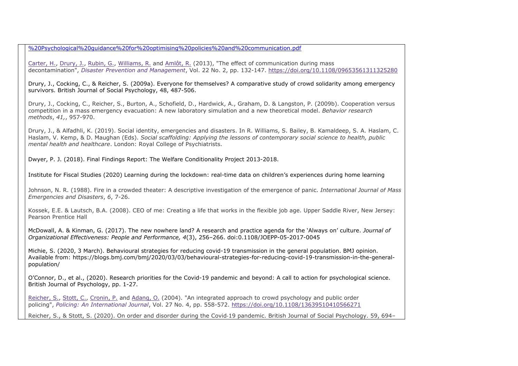[%20Psychological%20guidance%20for%20optimising%20policies%20and%20communication.pdf](https://www.bps.org.uk/sites/www.bps.org.uk/files/Policy/Policy%20-%20Files/Behavioural%20science%20and%20disease%20prevention%20-%20Psychological%20guidance%20for%20optimising%20policies%20and%20communication.pdf)

[Carter,](https://www.emerald.com/insight/search?q=Holly%20Carter) [H.,](https://www.emerald.com/insight/search?q=Holly%20Carter) [Drury,](https://www.emerald.com/insight/search?q=John%20Drury) [J.,](https://www.emerald.com/insight/search?q=John%20Drury) [Rubin,](https://www.emerald.com/insight/search?q=G.%20James%20Rubin) [G.](https://www.emerald.com/insight/search?q=G.%20James%20Rubin), [Williams,](https://www.emerald.com/insight/search?q=Richard%20Williams) [R.](https://www.emerald.com/insight/search?q=Richard%20Williams) and [Amlôt,](https://www.emerald.com/insight/search?q=Richard%20Aml%C3%B4t) [R.](https://www.emerald.com/insight/search?q=Richard%20Aml%C3%B4t) (2013), "The effect of communication during mass decontamination", *[Disaster](https://www.emerald.com/insight/publication/issn/0965-3562) [Prevention](https://www.emerald.com/insight/publication/issn/0965-3562) [and](https://www.emerald.com/insight/publication/issn/0965-3562) [Management](https://www.emerald.com/insight/publication/issn/0965-3562)*, Vol. 22 No. 2, pp. 132-147. <https://doi.org/10.1108/09653561311325280>

Drury, J., Cocking, C., & Reicher, S. (2009a). Everyone for themselves? A comparative study of crowd solidarity among emergency survivors. British Journal of Social Psychology, 48, 487-506.

Drury, J., Cocking, C., Reicher, S., Burton, A., Schofield, D., Hardwick, A., Graham, D. & Langston, P. (2009b). Cooperation versus competition in a mass emergency evacuation: A new laboratory simulation and a new theoretical model. *Behavior research methods*, *41,*, 957-970.

Drury, J., & Alfadhli, K. (2019). Social identity, emergencies and disasters. In R. Williams, S. Bailey, B. Kamaldeep, S. A. Haslam, C. Haslam, V. Kemp, & D. Maughan (Eds). *Social scaffolding: Applying the lessons of contemporary social science to health, public mental health and healthcare*. London: Royal College of Psychiatrists.

Dwyer, P. J. (2018). Final Findings Report: The Welfare Conditionality Project 2013-2018.

Institute for Fiscal Studies (2020) Learning during the lockdown: real-time data on children's experiences during home learning

Johnson, N. R. (1988). Fire in a crowded theater: A descriptive investigation of the emergence of panic. *International Journal of Mass Emergencies and Disasters*, *6*, 7-26.

Kossek, E.E. & Lautsch, B.A. (2008). CEO of me: Creating a life that works in the flexible job age. Upper Saddle River, New Jersey: Pearson Prentice Hall

McDowall, A. & Kinman, G. (2017). The new nowhere land? A research and practice agenda for the 'Always on' culture. *Journal of Organizational Effectiveness: People and Performance, 4*(3), 256–266. doi:0.1108/JOEPP-05-2017-0045

Michie, S. (2020, 3 March). Behavioural strategies for reducing covid-19 transmission in the general population. BMJ opinion. Available from: https://blogs.bmj.com/bmj/2020/03/03/behavioural-strategies-for-reducing-covid-19-transmission-in-the-generalpopulation/

O'Connor, D., et al., (2020). Research priorities for the Covid-19 pandemic and beyond: A call to action for psychological science. British Journal of Psychology, pp. 1-27.

[Reicher,](https://www.emerald.com/insight/search?q=Stephen%20Reicher) [S.](https://www.emerald.com/insight/search?q=Stephen%20Reicher), [Stott,](https://www.emerald.com/insight/search?q=Clifford%20Stott) [C.](https://www.emerald.com/insight/search?q=Clifford%20Stott), [Cronin,](https://www.emerald.com/insight/search?q=Patrick%20Cronin) [P.](https://www.emerald.com/insight/search?q=Patrick%20Cronin) and [Adang,](https://www.emerald.com/insight/search?q=Otto%20Adang) [O.](https://www.emerald.com/insight/search?q=Otto%20Adang) (2004). "An integrated approach to crowd psychology and public order policing", *[Policing:](https://www.emerald.com/insight/publication/issn/1363-951X) [An](https://www.emerald.com/insight/publication/issn/1363-951X) [International](https://www.emerald.com/insight/publication/issn/1363-951X) [Journal](https://www.emerald.com/insight/publication/issn/1363-951X)*, Vol. 27 No. 4, pp. 558-572. <https://doi.org/10.1108/13639510410566271>

Reicher, S., & Stott, S. (2020). On order and disorder during the Covid‐19 pandemic. British Journal of Social Psychology. 59, 694–